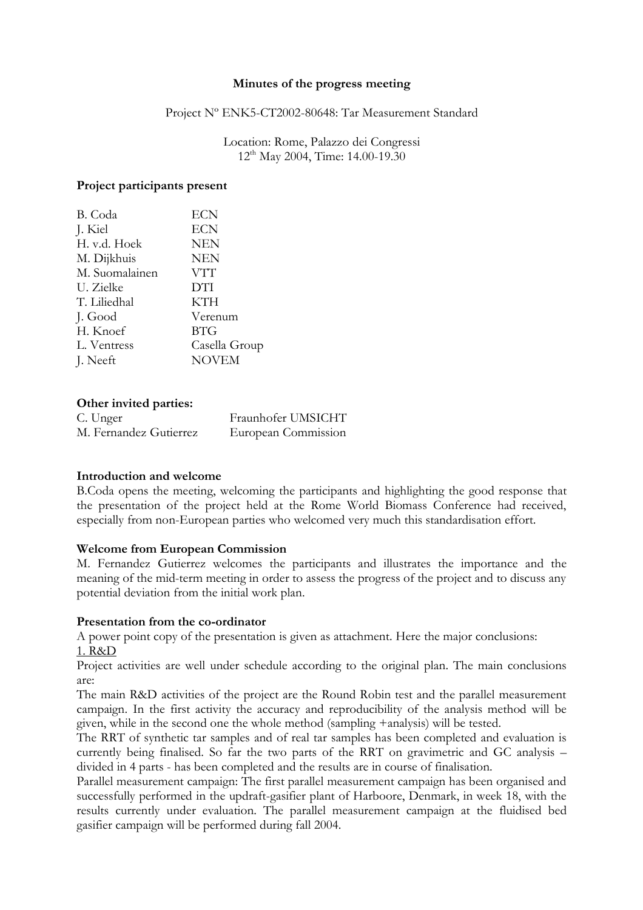### **Minutes of the progress meeting**

#### Project Nº ENK5-CT2002-80648: Tar Measurement Standard

Location: Rome, Palazzo dei Congressi 12th May 2004, Time: 14.00-19.30

### **Project participants present**

| B. Coda        | ECN           |
|----------------|---------------|
| J. Kiel        | <b>ECN</b>    |
| H. v.d. Hoek   | <b>NEN</b>    |
| M. Dijkhuis    | <b>NEN</b>    |
| M. Suomalainen | VTT           |
| U. Zielke      | <b>DTI</b>    |
| T. Liliedhal   | KTH           |
| J. Good        | Verenum       |
| H. Knoef       | <b>BTG</b>    |
| L. Ventress    | Casella Group |
| J. Neeft       | <b>NOVEM</b>  |
|                |               |

# **Other invited parties:**

| C. Unger               | Fraunhofer UMSICHT  |
|------------------------|---------------------|
| M. Fernandez Gutierrez | European Commission |

# **Introduction and welcome**

B.Coda opens the meeting, welcoming the participants and highlighting the good response that the presentation of the project held at the Rome World Biomass Conference had received, especially from non-European parties who welcomed very much this standardisation effort.

# **Welcome from European Commission**

M. Fernandez Gutierrez welcomes the participants and illustrates the importance and the meaning of the mid-term meeting in order to assess the progress of the project and to discuss any potential deviation from the initial work plan.

# **Presentation from the co-ordinator**

A power point copy of the presentation is given as attachment. Here the major conclusions: 1. R&D

Project activities are well under schedule according to the original plan. The main conclusions are:

The main R&D activities of the project are the Round Robin test and the parallel measurement campaign. In the first activity the accuracy and reproducibility of the analysis method will be given, while in the second one the whole method (sampling +analysis) will be tested.

The RRT of synthetic tar samples and of real tar samples has been completed and evaluation is currently being finalised. So far the two parts of the RRT on gravimetric and GC analysis – divided in 4 parts - has been completed and the results are in course of finalisation.

Parallel measurement campaign: The first parallel measurement campaign has been organised and successfully performed in the updraft-gasifier plant of Harboore, Denmark, in week 18, with the results currently under evaluation. The parallel measurement campaign at the fluidised bed gasifier campaign will be performed during fall 2004.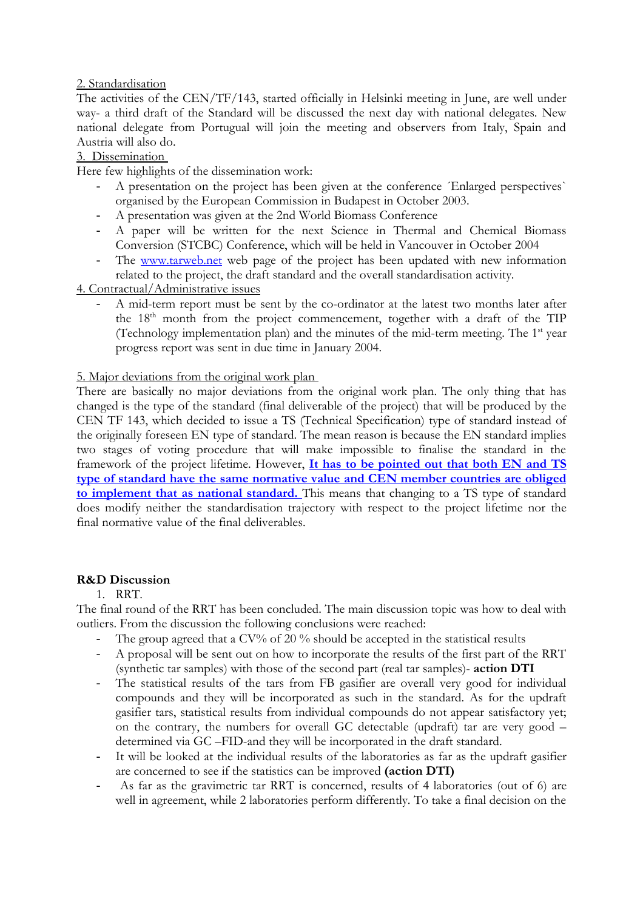# 2. Standardisation

The activities of the CEN/TF/143, started officially in Helsinki meeting in June, are well under way- a third draft of the Standard will be discussed the next day with national delegates. New national delegate from Portugual will join the meeting and observers from Italy, Spain and Austria will also do.

# 3. Dissemination

Here few highlights of the dissemination work:

- A presentation on the project has been given at the conference *´Enlarged perspectives* organised by the European Commission in Budapest in October 2003.
- A presentation was given at the 2nd World Biomass Conference
- A paper will be written for the next Science in Thermal and Chemical Biomass Conversion (STCBC) Conference, which will be held in Vancouver in October 2004
- The www.tarweb.net web page of the project has been updated with new information related to the project, the draft standard and the overall standardisation activity.

# 4. Contractual/Administrative issues

- A mid-term report must be sent by the co-ordinator at the latest two months later after the 18<sup>th</sup> month from the project commencement, together with a draft of the TIP (Technology implementation plan) and the minutes of the mid-term meeting. The 1<sup>st</sup> year progress report was sent in due time in January 2004.

# 5. Major deviations from the original work plan

There are basically no major deviations from the original work plan. The only thing that has changed is the type of the standard (final deliverable of the project) that will be produced by the CEN TF 143, which decided to issue a TS (Technical Specification) type of standard instead of the originally foreseen EN type of standard. The mean reason is because the EN standard implies two stages of voting procedure that will make impossible to finalise the standard in the framework of the project lifetime. However, **It has to be pointed out that both EN and TS type of standard have the same normative value and CEN member countries are obliged to implement that as national standard.** This means that changing to a TS type of standard does modify neither the standardisation trajectory with respect to the project lifetime nor the final normative value of the final deliverables.

# **R&D Discussion**

# 1. RRT.

The final round of the RRT has been concluded. The main discussion topic was how to deal with outliers. From the discussion the following conclusions were reached:

- The group agreed that a CV% of  $20\%$  should be accepted in the statistical results
- A proposal will be sent out on how to incorporate the results of the first part of the RRT (synthetic tar samples) with those of the second part (real tar samples)- **action DTI**
- The statistical results of the tars from FB gasifier are overall very good for individual compounds and they will be incorporated as such in the standard. As for the updraft gasifier tars, statistical results from individual compounds do not appear satisfactory yet; on the contrary, the numbers for overall GC detectable (updraft) tar are very good – determined via GC –FID-and they will be incorporated in the draft standard.
- It will be looked at the individual results of the laboratories as far as the updraft gasifier are concerned to see if the statistics can be improved **(action DTI)**
- As far as the gravimetric tar RRT is concerned, results of 4 laboratories (out of 6) are well in agreement, while 2 laboratories perform differently. To take a final decision on the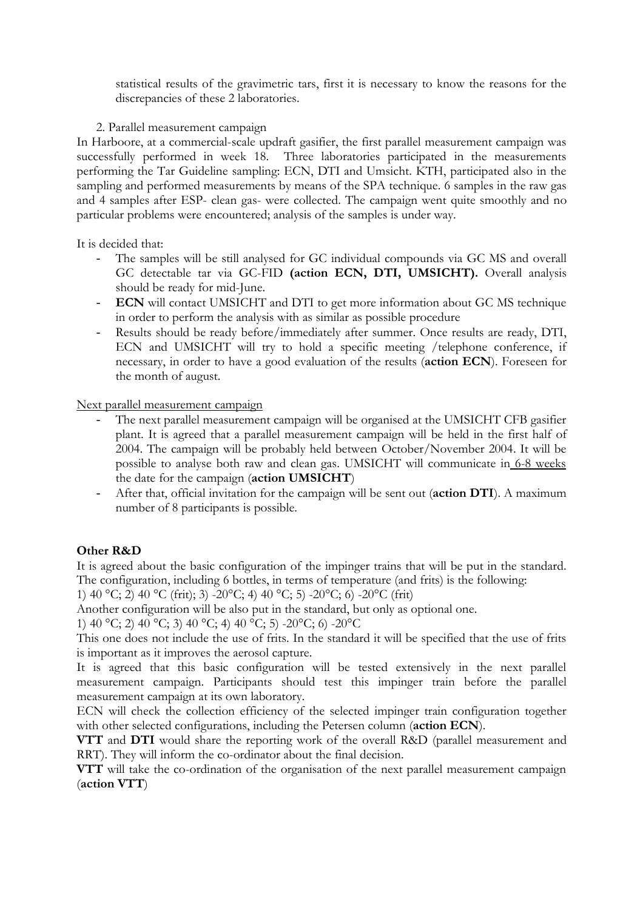statistical results of the gravimetric tars, first it is necessary to know the reasons for the discrepancies of these 2 laboratories.

# 2. Parallel measurement campaign

In Harboore, at a commercial-scale updraft gasifier, the first parallel measurement campaign was successfully performed in week 18. Three laboratories participated in the measurements performing the Tar Guideline sampling: ECN, DTI and Umsicht. KTH, participated also in the sampling and performed measurements by means of the SPA technique. 6 samples in the raw gas and 4 samples after ESP- clean gas- were collected. The campaign went quite smoothly and no particular problems were encountered; analysis of the samples is under way.

It is decided that:

- The samples will be still analysed for GC individual compounds via GC MS and overall GC detectable tar via GC-FID **(action ECN, DTI, UMSICHT).** Overall analysis should be ready for mid-June.
- **ECN** will contact UMSICHT and DTI to get more information about GC MS technique in order to perform the analysis with as similar as possible procedure
- Results should be ready before/immediately after summer. Once results are ready, DTI, ECN and UMSICHT will try to hold a specific meeting /telephone conference, if necessary, in order to have a good evaluation of the results (**action ECN**). Foreseen for the month of august.

Next parallel measurement campaign

- The next parallel measurement campaign will be organised at the UMSICHT CFB gasifier plant. It is agreed that a parallel measurement campaign will be held in the first half of 2004. The campaign will be probably held between October/November 2004. It will be possible to analyse both raw and clean gas. UMSICHT will communicate in 6-8 weeks the date for the campaign (**action UMSICHT**)
- After that, official invitation for the campaign will be sent out (**action DTI**). A maximum number of 8 participants is possible.

# **Other R&D**

It is agreed about the basic configuration of the impinger trains that will be put in the standard. The configuration, including 6 bottles, in terms of temperature (and frits) is the following:

1) 40 °C; 2) 40 °C (frit); 3) -20 °C; 4) 40 °C; 5) -20 °C; 6) -20 °C (frit)

Another configuration will be also put in the standard, but only as optional one.

1) 40 °C; 2) 40 °C; 3) 40 °C; 4) 40 °C; 5) -20 °C; 6) -20 °C

This one does not include the use of frits. In the standard it will be specified that the use of frits is important as it improves the aerosol capture.

It is agreed that this basic configuration will be tested extensively in the next parallel measurement campaign. Participants should test this impinger train before the parallel measurement campaign at its own laboratory.

ECN will check the collection efficiency of the selected impinger train configuration together with other selected configurations, including the Petersen column (**action ECN**).

**VTT** and **DTI** would share the reporting work of the overall R&D (parallel measurement and RRT). They will inform the co-ordinator about the final decision.

**VTT** will take the co-ordination of the organisation of the next parallel measurement campaign (**action VTT**)